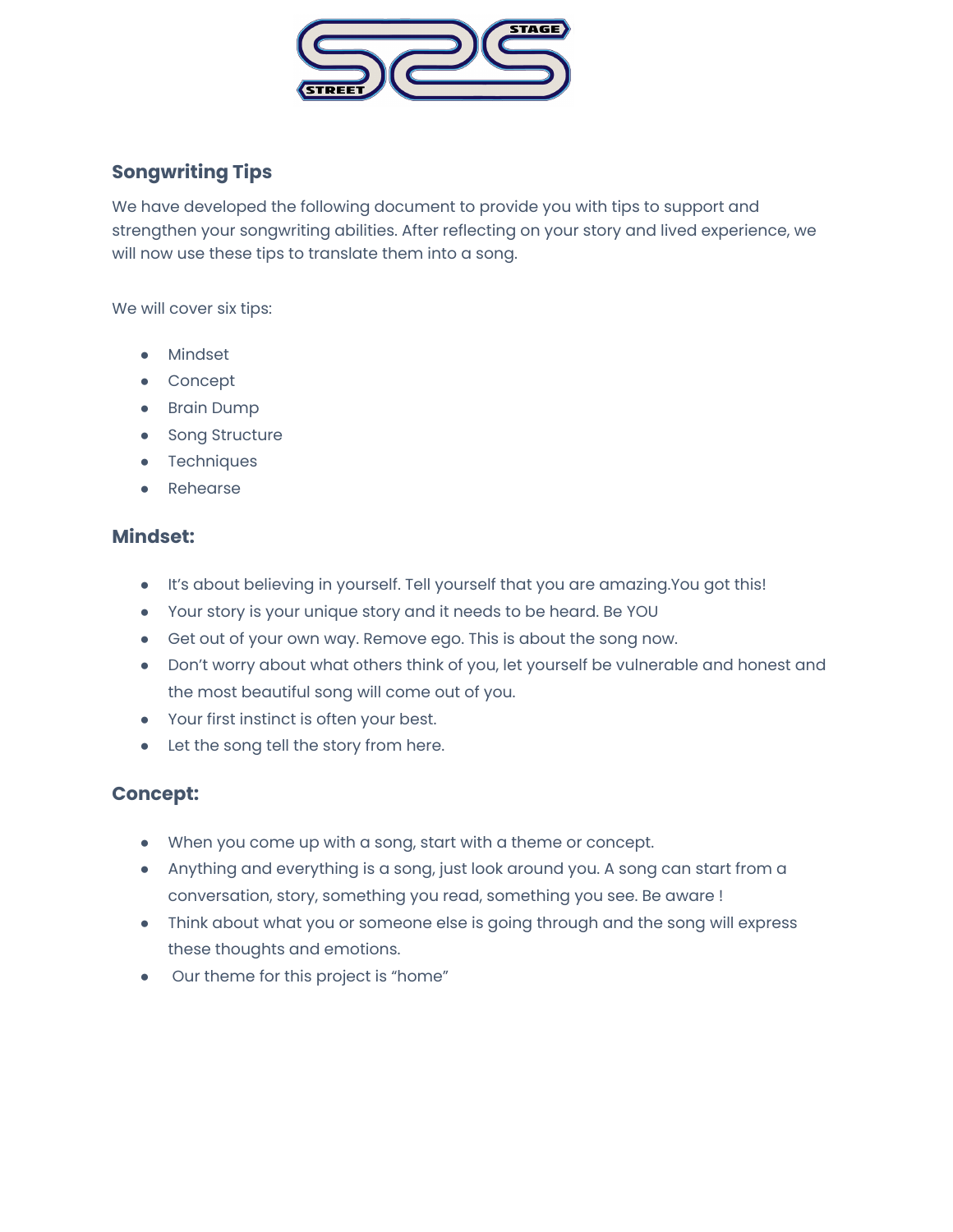

# **Songwriting Tips**

We have developed the following document to provide you with tips to support and strengthen your songwriting abilities. After reflecting on your story and lived experience, we will now use these tips to translate them into a song.

We will cover six tips:

- Mindset
- **Concept**
- Brain Dump
- Song Structure
- Techniques
- **Rehearse**

### **Mindset:**

- It's about believing in yourself. Tell yourself that you are amazing.You got this!
- Your story is your unique story and it needs to be heard. Be YOU
- Get out of your own way. Remove ego. This is about the song now.
- Don't worry about what others think of you, let yourself be vulnerable and honest and the most beautiful song will come out of you.
- Your first instinct is often your best.
- Let the song tell the story from here.

## **Concept:**

- When you come up with a song, start with a theme or concept.
- Anything and everything is a song, just look around you. A song can start from a conversation, story, something you read, something you see. Be aware !
- Think about what you or someone else is going through and the song will express these thoughts and emotions.
- Our theme for this project is "home"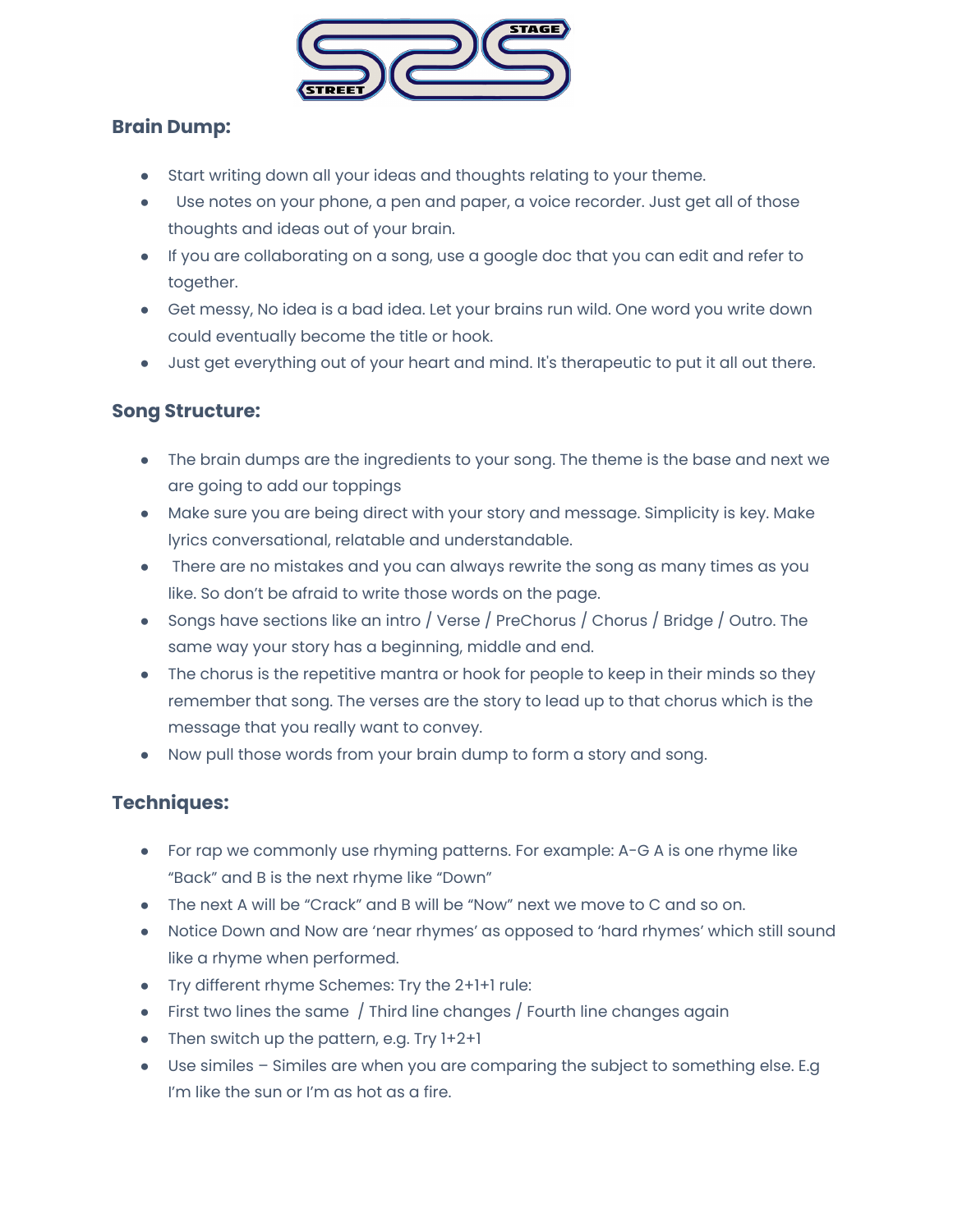

### **Brain Dump:**

- Start writing down all your ideas and thoughts relating to your theme.
- Use notes on your phone, a pen and paper, a voice recorder. Just get all of those thoughts and ideas out of your brain.
- If you are collaborating on a song, use a google doc that you can edit and refer to together.
- Get messy, No idea is a bad idea. Let your brains run wild. One word you write down could eventually become the title or hook.
- Just get everything out of your heart and mind. It's therapeutic to put it all out there.

#### **Song Structure:**

- The brain dumps are the ingredients to your song. The theme is the base and next we are going to add our toppings
- Make sure you are being direct with your story and message. Simplicity is key. Make lyrics conversational, relatable and understandable.
- There are no mistakes and you can always rewrite the song as many times as you like. So don't be afraid to write those words on the page.
- Songs have sections like an intro / Verse / PreChorus / Chorus / Bridge / Outro. The same way your story has a beginning, middle and end.
- The chorus is the repetitive mantra or hook for people to keep in their minds so they remember that song. The verses are the story to lead up to that chorus which is the message that you really want to convey.
- Now pull those words from your brain dump to form a story and song.

## **Techniques:**

- For rap we commonly use rhyming patterns. For example: A-G A is one rhyme like "Back" and B is the next rhyme like "Down"
- The next A will be "Crack" and B will be "Now" next we move to C and so on.
- Notice Down and Now are 'near rhymes' as opposed to 'hard rhymes' which still sound like a rhyme when performed.
- Try different rhyme Schemes: Try the 2+1+1 rule:
- First two lines the same / Third line changes / Fourth line changes again
- Then switch up the pattern, e.g. Try 1+2+1
- Use similes Similes are when you are comparing the subject to something else. E.g I'm like the sun or I'm as hot as a fire.